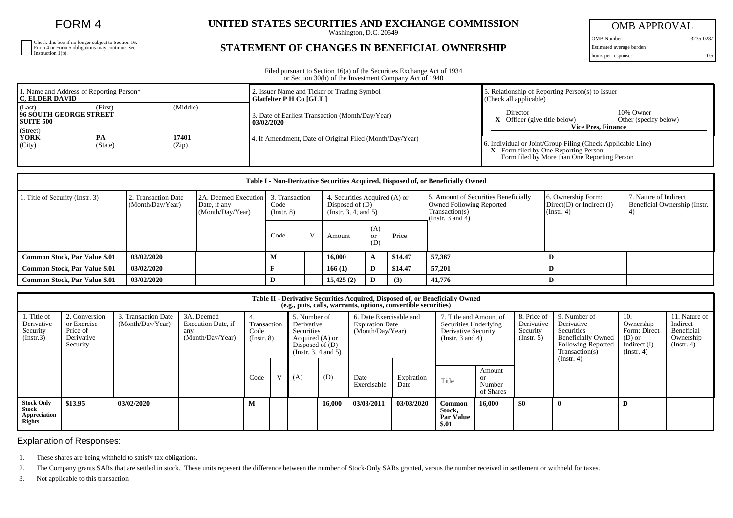FORM 4

| Check this box if no longer subject to Section 16.<br>Form 4 or Form 5 obligations may continue. See<br>Instruction 1(b). |
|---------------------------------------------------------------------------------------------------------------------------|

## **UNITED STATES SECURITIES AND EXCHANGE COMMISSION**

Washington, D.C. 20549

## **STATEMENT OF CHANGES IN BENEFICIAL OWNERSHIP**

OMB APPROVAL

OMB Number: 3235-0287 Estimated average burden

hours per response: 0.5

Filed pursuant to Section 16(a) of the Securities Exchange Act of 1934 or Section 30(h) of the Investment Company Act of 1940

| 1. Name and Address of Reporting Person*<br><b>IC. ELDER DAVID</b>                  | 2. Issuer Name and Ticker or Trading Symbol<br>  Glatfelter P H Co [GLT] | 5. Relationship of Reporting Person(s) to Issuer<br>(Check all applicable)                                                                                                              |  |  |  |  |
|-------------------------------------------------------------------------------------|--------------------------------------------------------------------------|-----------------------------------------------------------------------------------------------------------------------------------------------------------------------------------------|--|--|--|--|
| (Middle)<br>(Last)<br>(First)<br><b>196 SOUTH GEORGE STREET</b><br><b>SUITE 500</b> | 3. Date of Earliest Transaction (Month/Day/Year)<br>  03/02/2020         | Director<br>10% Owner<br>$X$ Officer (give title below)<br>Other (specify below)                                                                                                        |  |  |  |  |
| (Street)<br><b>YORK</b><br>17401<br>(City)<br>(Zip)<br>(State)                      | 4. If Amendment, Date of Original Filed (Month/Day/Year)                 | <b>Vice Pres. Finance</b><br>6. Individual or Joint/Group Filing (Check Applicable Line)<br><b>X</b> Form filed by One Reporting Person<br>Form filed by More than One Reporting Person |  |  |  |  |

| Table I - Non-Derivative Securities Acquired, Disposed of, or Beneficially Owned |                                         |                                                          |                                      |  |                                            |                               |         |                                                                                                             |                                                                   |                                                       |  |
|----------------------------------------------------------------------------------|-----------------------------------------|----------------------------------------------------------|--------------------------------------|--|--------------------------------------------|-------------------------------|---------|-------------------------------------------------------------------------------------------------------------|-------------------------------------------------------------------|-------------------------------------------------------|--|
| . Title of Security (Instr. 3)                                                   | 2. Transaction Date<br>(Month/Day/Year) | 2A. Deemed Execution<br>Date, if any<br>(Month/Day/Year) | 3. Transaction<br>Code<br>(Insert 8) |  | Disposed of $(D)$<br>(Insert. 3, 4, and 5) | 4. Securities Acquired (A) or |         | 5. Amount of Securities Beneficially<br>Owned Following Reported<br>Transaction(s)<br>(Instr. $3$ and $4$ ) | 6. Ownership Form:<br>$Direct(D)$ or Indirect $(I)$<br>(Instr. 4) | 7. Nature of Indirect<br>Beneficial Ownership (Instr. |  |
|                                                                                  |                                         |                                                          | Code                                 |  | Amount                                     | (A)<br><b>or</b><br>(D)       | Price   |                                                                                                             |                                                                   |                                                       |  |
| <b>Common Stock, Par Value \$.01</b>                                             | 03/02/2020                              |                                                          | м                                    |  | 16.000                                     | A                             | \$14.47 | 57,367                                                                                                      |                                                                   |                                                       |  |
| <b>Common Stock, Par Value \$.01</b>                                             | 03/02/2020                              |                                                          |                                      |  | 166(1)                                     | D                             | \$14.47 | 57,201                                                                                                      | D                                                                 |                                                       |  |
| <b>Common Stock, Par Value \$.01</b>                                             | 03/02/2020                              |                                                          | D                                    |  | 15,425(2)                                  | D                             | (3)     | 41,776                                                                                                      | D                                                                 |                                                       |  |

| Table II - Derivative Securities Acquired, Disposed of, or Beneficially Owned<br>(e.g., puts, calls, warrants, options, convertible securities) |                                                                    |                                         |                                                             |                                   |  |                                                                                                          |        |                                                                       |                    |                                                                                                 |                                            |                                                      |                                                                                                                                     |                                                                                    |                                                                          |
|-------------------------------------------------------------------------------------------------------------------------------------------------|--------------------------------------------------------------------|-----------------------------------------|-------------------------------------------------------------|-----------------------------------|--|----------------------------------------------------------------------------------------------------------|--------|-----------------------------------------------------------------------|--------------------|-------------------------------------------------------------------------------------------------|--------------------------------------------|------------------------------------------------------|-------------------------------------------------------------------------------------------------------------------------------------|------------------------------------------------------------------------------------|--------------------------------------------------------------------------|
| 1. Title of<br>Derivative<br>Security<br>(Instr.3)                                                                                              | 2. Conversion<br>or Exercise<br>Price of<br>Derivative<br>Security | 3. Transaction Date<br>(Month/Day/Year) | 3A. Deemed<br>Execution Date, if<br>any<br>(Month/Day/Year) | Transaction<br>Code<br>(Insert 8) |  | 5. Number of<br>Derivative<br>Securities<br>Acquired (A) or<br>Disposed of $(D)$<br>(Insert. 3, 4 and 5) |        | 6. Date Exercisable and<br><b>Expiration Date</b><br>(Month/Day/Year) |                    | 7. Title and Amount of<br>Securities Underlying<br>Derivative Security<br>(Instr. $3$ and $4$ ) |                                            | 8. Price of<br>Derivative<br>Security<br>(Insert. 5) | 9. Number of<br>Derivative<br>Securities<br><b>Beneficially Owned</b><br><b>Following Reported</b><br>Transaction(s)<br>(Insert. 4) | 10.<br>Ownership<br>Form: Direct<br>$(D)$ or<br>Indirect $(I)$<br>$($ Instr. 4 $)$ | 11. Nature of<br>Indirect<br>Beneficial<br>Ownership<br>$($ Instr. 4 $)$ |
|                                                                                                                                                 |                                                                    |                                         |                                                             | Code                              |  | (A)                                                                                                      | (D)    | Date<br>Exercisable                                                   | Expiration<br>Date | Title                                                                                           | Amount<br><b>or</b><br>Number<br>of Shares |                                                      |                                                                                                                                     |                                                                                    |                                                                          |
| <b>Stock Only</b><br>Stock<br>Appreciation<br><b>Rights</b>                                                                                     | \$13.95                                                            | 03/02/2020                              |                                                             | R Æ<br>IVI                        |  |                                                                                                          | 16,000 | 03/03/2011                                                            | 03/03/2020         | Common<br>Stock,<br><b>Par Value</b><br>\$.01                                                   | 16,000                                     | \$0                                                  | $\mathbf{0}$                                                                                                                        | D                                                                                  |                                                                          |

Explanation of Responses:

1. These shares are being withheld to satisfy tax obligations.

2. The Company grants SARs that are settled in stock. These units repesent the difference between the number of Stock-Only SARs granted, versus the number received in settlement or withheld for taxes.

3. Not applicable to this transaction